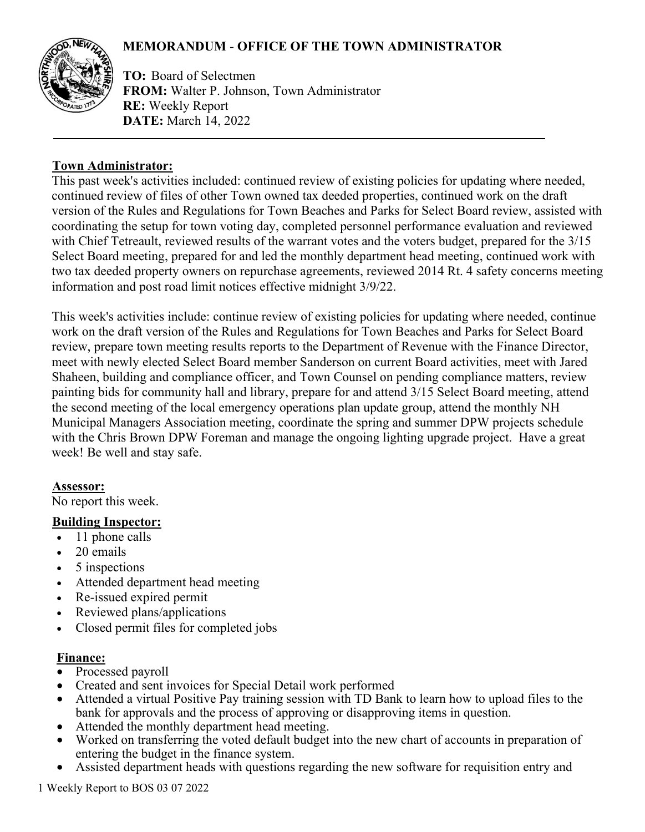# **MEMORANDUM** - **OFFICE OF THE TOWN ADMINISTRATOR**



**TO:** Board of Selectmen **FROM:** Walter P. Johnson, Town Administrator **RE:** Weekly Report **DATE:** March 14, 2022

### **Town Administrator:**

This past week's activities included: continued review of existing policies for updating where needed, continued review of files of other Town owned tax deeded properties, continued work on the draft version of the Rules and Regulations for Town Beaches and Parks for Select Board review, assisted with coordinating the setup for town voting day, completed personnel performance evaluation and reviewed with Chief Tetreault, reviewed results of the warrant votes and the voters budget, prepared for the 3/15 Select Board meeting, prepared for and led the monthly department head meeting, continued work with two tax deeded property owners on repurchase agreements, reviewed 2014 Rt. 4 safety concerns meeting information and post road limit notices effective midnight 3/9/22.

This week's activities include: continue review of existing policies for updating where needed, continue work on the draft version of the Rules and Regulations for Town Beaches and Parks for Select Board review, prepare town meeting results reports to the Department of Revenue with the Finance Director, meet with newly elected Select Board member Sanderson on current Board activities, meet with Jared Shaheen, building and compliance officer, and Town Counsel on pending compliance matters, review painting bids for community hall and library, prepare for and attend 3/15 Select Board meeting, attend the second meeting of the local emergency operations plan update group, attend the monthly NH Municipal Managers Association meeting, coordinate the spring and summer DPW projects schedule with the Chris Brown DPW Foreman and manage the ongoing lighting upgrade project. Have a great week! Be well and stay safe.

#### **Assessor:**

No report this week.

## **Building Inspector:**

- 11 phone calls
- 20 emails
- 5 inspections
- Attended department head meeting
- Re-issued expired permit
- Reviewed plans/applications
- Closed permit files for completed jobs

#### **Finance:**

- Processed payroll
- Created and sent invoices for Special Detail work performed
- Attended a virtual Positive Pay training session with TD Bank to learn how to upload files to the bank for approvals and the process of approving or disapproving items in question.
- Attended the monthly department head meeting.
- Worked on transferring the voted default budget into the new chart of accounts in preparation of entering the budget in the finance system.
- Assisted department heads with questions regarding the new software for requisition entry and

1 Weekly Report to BOS 03 07 2022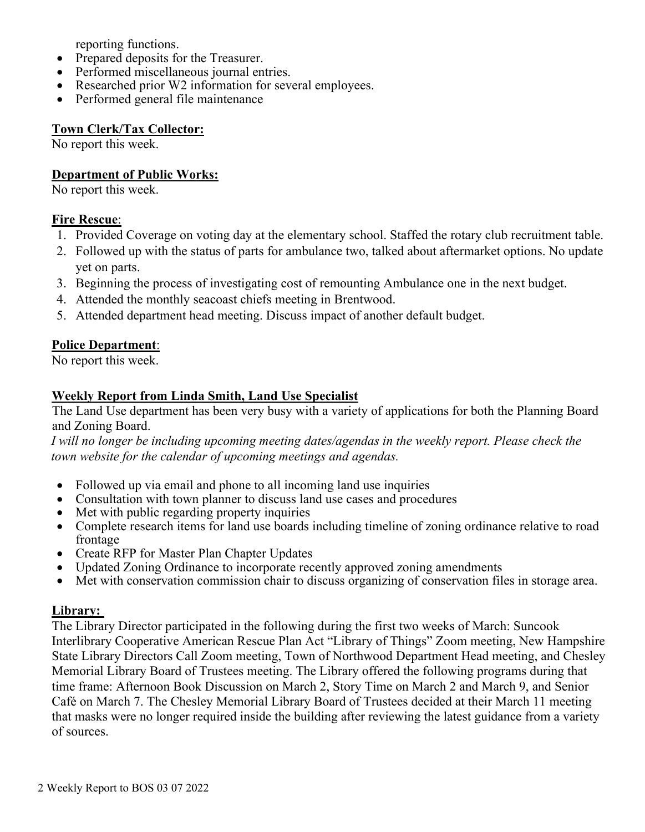reporting functions.

- Prepared deposits for the Treasurer.
- Performed miscellaneous journal entries.
- Researched prior W2 information for several employees.
- Performed general file maintenance

#### **Town Clerk/Tax Collector:**

No report this week.

### **Department of Public Works:**

No report this week.

### **Fire Rescue**:

- 1. Provided Coverage on voting day at the elementary school. Staffed the rotary club recruitment table.
- 2. Followed up with the status of parts for ambulance two, talked about aftermarket options. No update yet on parts.
- 3. Beginning the process of investigating cost of remounting Ambulance one in the next budget.
- 4. Attended the monthly seacoast chiefs meeting in Brentwood.
- 5. Attended department head meeting. Discuss impact of another default budget.

## **Police Department**:

No report this week.

## **Weekly Report from Linda Smith, Land Use Specialist**

The Land Use department has been very busy with a variety of applications for both the Planning Board and Zoning Board.

*I* will no longer be including upcoming meeting dates/agendas in the weekly report. Please check the *town website for the calendar of upcoming meetings and agendas.*

- Followed up via email and phone to all incoming land use inquiries
- Consultation with town planner to discuss land use cases and procedures
- Met with public regarding property inquiries
- Complete research items for land use boards including timeline of zoning ordinance relative to road frontage
- Create RFP for Master Plan Chapter Updates
- Updated Zoning Ordinance to incorporate recently approved zoning amendments
- Met with conservation commission chair to discuss organizing of conservation files in storage area.

#### **Library:**

The Library Director participated in the following during the first two weeks of March: Suncook Interlibrary Cooperative American Rescue Plan Act "Library of Things" Zoom meeting, New Hampshire State Library Directors Call Zoom meeting, Town of Northwood Department Head meeting, and Chesley Memorial Library Board of Trustees meeting. The Library offered the following programs during that time frame: Afternoon Book Discussion on March 2, Story Time on March 2 and March 9, and Senior Café on March 7. The Chesley Memorial Library Board of Trustees decided at their March 11 meeting that masks were no longer required inside the building after reviewing the latest guidance from a variety of sources.